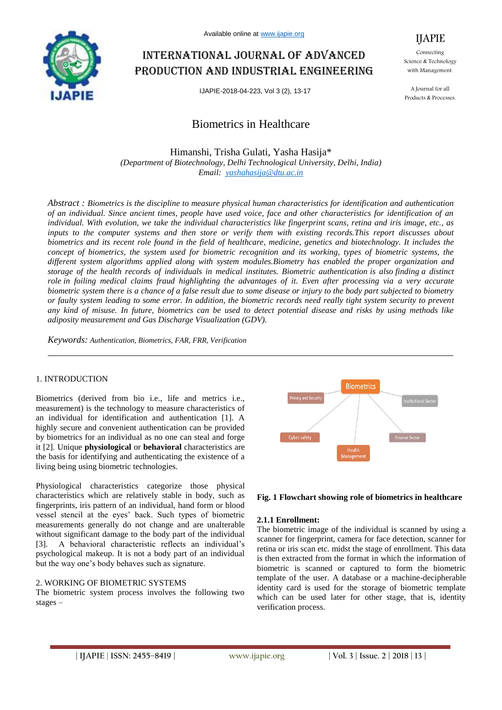

Available online at www.ijapie.org

# International journal of advanced production and industrial engineering

IJAPIE-2018-04-223, Vol 3 (2), 13-17

# Biometrics in Healthcare

*(Department of Biotechnology, Delhi Technological University, Delhi, India) Email: yashahasija@dtu.ac.in* Himanshi, Trisha Gulati, Yasha Hasija\*

*Abstract : Biometrics is the discipline to measure physical human characteristics for identification and authentication of an individual. Since ancient times, people have used voice, face and other characteristics for identification of an individual. With evolution, we take the individual characteristics like fingerprint scans, retina and iris image, etc., as inputs to the computer systems and then store or verify them with existing records.This report discusses about biometrics and its recent role found in the field of healthcare, medicine, genetics and biotechnology. It includes the concept of biometrics, the system used for biometric recognition and its working, types of biometric systems, the different system algorithms applied along with system modules.Biometry has enabled the proper organization and storage of the health records of individuals in medical institutes. Biometric authentication is also finding a distinct role in foiling medical claims fraud highlighting the advantages of it. Even after processing via a very accurate biometric system there is a chance of a false result due to some disease or injury to the body part subjected to biometry or faulty system leading to some error. In addition, the biometric records need really tight system security to prevent any kind of misuse. In future, biometrics can be used to detect potential disease and risks by using methods like adiposity measurement and Gas Discharge Visualization (GDV).* 

*Keywords: Authentication, Biometrics, FAR, FRR, Verification*

#### 1. INTRODUCTION

Biometrics (derived from bio i.e., life and metrics i.e., measurement) is the technology to measure characteristics of an individual for identification and authentication [1]. A highly secure and convenient authentication can be provided by biometrics for an individual as no one can steal and forge it [2]. Unique **physiological** or **behavioral** characteristics are the basis for identifying and authenticating the existence of a living being using biometric technologies.

Physiological characteristics categorize those physical characteristics which are relatively stable in body, such as fingerprints, iris pattern of an individual, hand form or blood vessel stencil at the eyes' back. Such types of biometric measurements generally do not change and are unalterable without significant damage to the body part of the individual [3]. A behavioral characteristic reflects an individual's psychological makeup. It is not a body part of an individual but the way one's body behaves such as signature.

#### 2. WORKING OF BIOMETRIC SYSTEMS

The biometric system process involves the following two stages –



#### **Fig. 1 Flowchart showing role of biometrics in healthcare**

#### **2.1.1 Enrollment:**

The biometric image of the individual is scanned by using a scanner for fingerprint, camera for face detection, scanner for retina or iris scan etc. midst the stage of enrollment. This data is then extracted from the format in which the information of biometric is scanned or captured to form the biometric template of the user. A database or a machine-decipherable identity card is used for the storage of biometric template which can be used later for other stage, that is, identity verification process.

Connecting Science & Technology with Management.

IJAPIE

A Journal for all Products & Processes.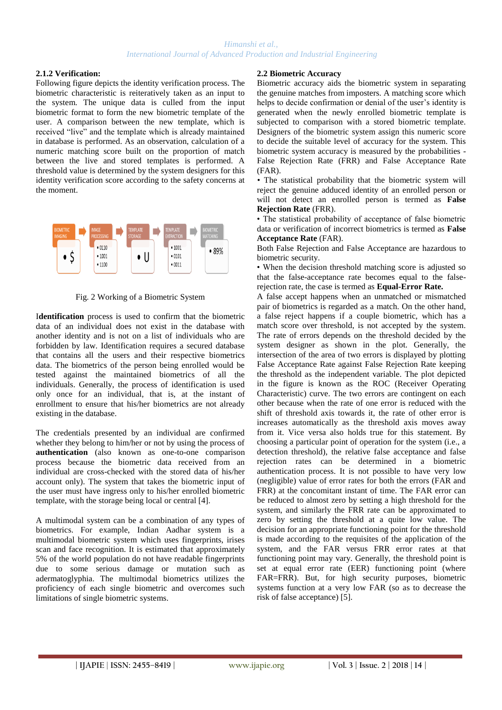#### **2.1.2 Verification:**

Following figure depicts the identity verification process. The biometric characteristic is reiteratively taken as an input to the system. The unique data is culled from the input biometric format to form the new biometric template of the user. A comparison between the new template, which is received "live" and the template which is already maintained in database is performed. As an observation, calculation of a numeric matching score built on the proportion of match between the live and stored templates is performed. A threshold value is determined by the system designers for this identity verification score according to the safety concerns at the moment.



Fig. 2 Working of a Biometric System

I**dentification** process is used to confirm that the biometric data of an individual does not exist in the database with another identity and is not on a list of individuals who are forbidden by law. Identification requires a secured database that contains all the users and their respective biometrics data. The biometrics of the person being enrolled would be tested against the maintained biometrics of all the individuals. Generally, the process of identification is used only once for an individual, that is, at the instant of enrollment to ensure that his/her biometrics are not already existing in the database.

The credentials presented by an individual are confirmed whether they belong to him/her or not by using the process of **authentication** (also known as one-to-one comparison process because the biometric data received from an individual are cross-checked with the stored data of his/her account only). The system that takes the biometric input of the user must have ingress only to his/her enrolled biometric template, with the storage being local or central [4].

A multimodal system can be a combination of any types of biometrics. For example, Indian Aadhar system is a multimodal biometric system which uses fingerprints, irises scan and face recognition. It is estimated that approximately 5% of the world population do not have readable fingerprints due to some serious damage or mutation such as adermatoglyphia. The multimodal biometrics utilizes the proficiency of each single biometric and overcomes such limitations of single biometric systems.

### **2.2 Biometric Accuracy**

Biometric accuracy aids the biometric system in separating the genuine matches from imposters. A matching score which helps to decide confirmation or denial of the user's identity is generated when the newly enrolled biometric template is subjected to comparison with a stored biometric template. Designers of the biometric system assign this numeric score to decide the suitable level of accuracy for the system. This biometric system accuracy is measured by the probabilities - False Rejection Rate (FRR) and False Acceptance Rate (FAR).

*•* The statistical probability that the biometric system will reject the genuine adduced identity of an enrolled person or will not detect an enrolled person is termed as **False Rejection Rate** (FRR).

• The statistical probability of acceptance of false biometric data or verification of incorrect biometrics is termed as **False Acceptance Rate** (FAR).

Both False Rejection and False Acceptance are hazardous to biometric security.

• When the decision threshold matching score is adjusted so that the false-acceptance rate becomes equal to the falserejection rate, the case is termed as **Equal-Error Rate.**

A false accept happens when an unmatched or mismatched pair of biometrics is regarded as a match. On the other hand, a false reject happens if a couple biometric, which has a match score over threshold, is not accepted by the system. The rate of errors depends on the threshold decided by the system designer as shown in the plot. Generally, the intersection of the area of two errors is displayed by plotting False Acceptance Rate against False Rejection Rate keeping the threshold as the independent variable. The plot depicted in the figure is known as the ROC (Receiver Operating Characteristic) curve. The two errors are contingent on each other because when the rate of one error is reduced with the shift of threshold axis towards it, the rate of other error is increases automatically as the threshold axis moves away from it. Vice versa also holds true for this statement. By choosing a particular point of operation for the system (i.e., a detection threshold), the relative false acceptance and false rejection rates can be determined in a biometric authentication process. It is not possible to have very low (negligible) value of error rates for both the errors (FAR and FRR) at the concomitant instant of time. The FAR error can be reduced to almost zero by setting a high threshold for the system, and similarly the FRR rate can be approximated to zero by setting the threshold at a quite low value. The decision for an appropriate functioning point for the threshold is made according to the requisites of the application of the system, and the FAR versus FRR error rates at that functioning point may vary. Generally, the threshold point is set at equal error rate (EER) functioning point (where FAR=FRR). But, for high security purposes, biometric systems function at a very low FAR (so as to decrease the risk of false acceptance) [5].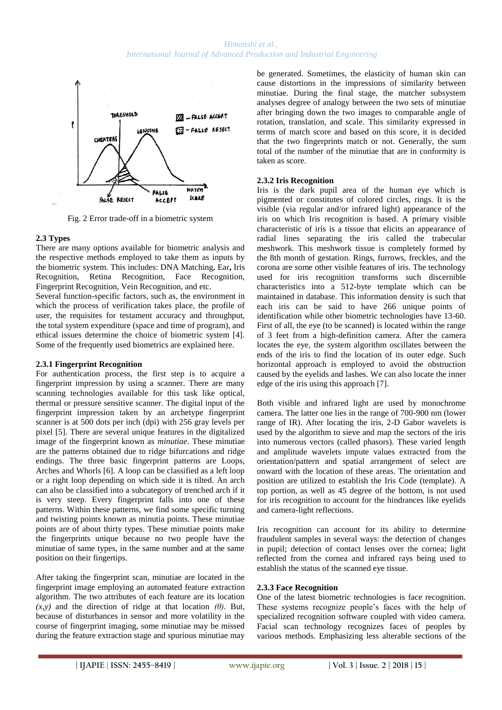

Fig. 2 Error trade-off in a biometric system

#### **2.3 Types**

There are many options available for biometric analysis and the respective methods employed to take them as inputs by the biometric system. This includes: DNA Matching, Ear**,** Iris Recognition, Retina Recognition, Face Recognition, Fingerprint Recognition, Vein Recognition, and etc.

Several function-specific factors, such as, the environment in which the process of verification takes place, the profile of user, the requisites for testament accuracy and throughput, the total system expenditure (space and time of program), and ethical issues determine the choice of biometric system [4]. Some of the frequently used biometrics are explained here.

#### **2.3.1 Fingerprint Recognition**

For authentication process, the first step is to acquire a fingerprint impression by using a scanner. There are many scanning technologies available for this task like optical, thermal or pressure sensitive scanner. The digital input of the fingerprint impression taken by an archetype fingerprint scanner is at 500 dots per inch (dpi) with 256 gray levels per pixel [5]. There are several unique features in the digitalized image of the fingerprint known as *minutiae*. These minutiae are the patterns obtained due to ridge bifurcations and ridge endings. The three basic fingerprint patterns are Loops, Arches and Whorls [6]. A loop can be classified as a left loop or a right loop depending on which side it is tilted. An arch can also be classified into a subcategory of trenched arch if it is very steep. Every fingerprint falls into one of these patterns. Within these patterns, we find some specific turning and twisting points known as minutia points. These minutiae points are of about thirty types. These minutiae points make the fingerprints unique because no two people have the minutiae of same types, in the same number and at the same position on their fingertips.

After taking the fingerprint scan, minutiae are located in the fingerprint image employing an automated feature extraction algorithm. The two attributes of each feature are its location *(x,y)* and the direction of ridge at that location *(θ)*. But, because of disturbances in sensor and more volatility in the course of fingerprint imaging, some minutiae may be missed during the feature extraction stage and spurious minutiae may be generated. Sometimes, the elasticity of human skin can cause distortions in the impressions of similarity between minutiae. During the final stage, the matcher subsystem analyses degree of analogy between the two sets of minutiae after bringing down the two images to comparable angle of rotation, translation, and scale. This similarity expressed in terms of match score and based on this score, it is decided that the two fingerprints match or not. Generally, the sum total of the number of the minutiae that are in conformity is taken as score.

## **2.3.2 Iris Recognition**

Iris is the dark pupil area of the human eye which is pigmented or constitutes of colored circles, rings. It is the visible (via regular and/or infrared light) appearance of the iris on which Iris recognition is based. A primary visible characteristic of iris is a tissue that elicits an appearance of radial lines separating the iris called the trabecular meshwork. This meshwork tissue is completely formed by the 8th month of gestation. Rings, furrows, freckles, and the corona are some other visible features of iris. The technology used for iris recognition transforms such discernible characteristics into a 512-byte template which can be maintained in database. This information density is such that each iris can be said to have 266 unique points of identification while other biometric technologies have 13-60. First of all, the eye (to be scanned) is located within the range of 3 feet from a high-definition camera. After the camera locates the eye, the system algorithm oscillates between the ends of the iris to find the location of its outer edge. Such horizontal approach is employed to avoid the obstruction caused by the eyelids and lashes. We can also locate the inner edge of the iris using this approach [7].

Both visible and infrared light are used by monochrome camera. The latter one lies in the range of 700-900 nm (lower range of IR). After locating the iris, 2-D Gabor wavelets is used by the algorithm to sieve and map the sectors of the iris into numerous vectors (called phasors). These varied length and amplitude wavelets impute values extracted from the orientation/pattern and spatial arrangement of select are onward with the location of these areas. The orientation and position are utilized to establish the Iris Code (template). A top portion, as well as 45 degree of the bottom, is not used for iris recognition to account for the hindrances like eyelids and camera-light reflections.

Iris recognition can account for its ability to determine fraudulent samples in several ways: the detection of changes in pupil; detection of contact lenses over the cornea; light reflected from the cornea and infrared rays being used to establish the status of the scanned eye tissue.

#### **2.3.3 Face Recognition**

One of the latest biometric technologies is face recognition. These systems recognize people's faces with the help of specialized recognition software coupled with video camera. Facial scan technology recognizes faces of peoples by various methods. Emphasizing less alterable sections of the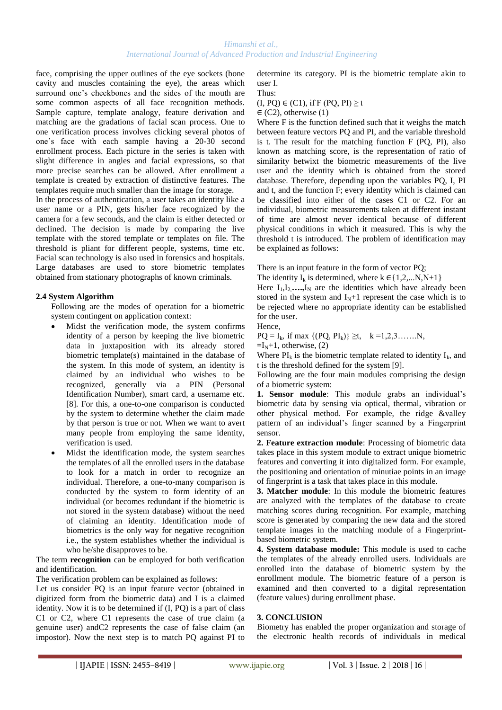#### *Himanshi et al., International Journal of Advanced Production and Industrial Engineering*

face, comprising the upper outlines of the eye sockets (bone cavity and muscles containing the eye), the areas which surround one's cheekbones and the sides of the mouth are some common aspects of all face recognition methods. Sample capture, template analogy, feature derivation and matching are the gradations of facial scan process. One to one verification process involves clicking several photos of one's face with each sample having a 20-30 second enrollment process. Each picture in the series is taken with slight difference in angles and facial expressions, so that more precise searches can be allowed. After enrollment a template is created by extraction of distinctive features. The templates require much smaller than the image for storage.

In the process of authentication, a user takes an identity like a user name or a PIN, gets his/her face recognized by the camera for a few seconds, and the claim is either detected or declined. The decision is made by comparing the live template with the stored template or templates on file. The threshold is pliant for different people, systems, time etc. Facial scan technology is also used in forensics and hospitals. Large databases are used to store biometric templates obtained from stationary photographs of known criminals.

#### **2.4 System Algorithm**

Following are the modes of operation for a biometric system contingent on application context:

- Midst the verification mode, the system confirms identity of a person by keeping the live biometric data in juxtaposition with its already stored biometric template(s) maintained in the database of the system. In this mode of system, an identity is claimed by an individual who wishes to be recognized, generally via a PIN (Personal Identification Number), smart card, a username etc. [8]. For this, a one-to-one comparison is conducted by the system to determine whether the claim made by that person is true or not. When we want to avert many people from employing the same identity, verification is used.
- Midst the identification mode, the system searches the templates of all the enrolled users in the database to look for a match in order to recognize an individual. Therefore, a one-to-many comparison is conducted by the system to form identity of an individual (or becomes redundant if the biometric is not stored in the system database) without the need of claiming an identity. Identification mode of biometrics is the only way for negative recognition i.e., the system establishes whether the individual is who he/she disapproves to be.

The term **recognition** can be employed for both verification and identification.

The verification problem can be explained as follows:

Let us consider PQ is an input feature vector (obtained in digitized form from the biometric data) and I is a claimed identity. Now it is to be determined if (I, PQ) is a part of class C1 or C2, where C1 represents the case of true claim (a genuine user) andC2 represents the case of false claim (an impostor). Now the next step is to match PQ against PI to determine its category. PI is the biometric template akin to user I. Thus:

 $(I, PQ) \in (C1)$ , if F  $(PQ, PI) \ge t$ 

 $\in$  (C2), otherwise (1)

Where F is the function defined such that it weighs the match between feature vectors PQ and PI, and the variable threshold is t. The result for the matching function F (PQ, PI), also known as matching score, is the representation of ratio of similarity betwixt the biometric measurements of the live user and the identity which is obtained from the stored database. Therefore, depending upon the variables PQ, I, PI and t, and the function F; every identity which is claimed can be classified into either of the cases C1 or C2. For an individual, biometric measurements taken at different instant of time are almost never identical because of different physical conditions in which it measured. This is why the threshold t is introduced. The problem of identification may be explained as follows:

There is an input feature in the form of vector PQ;

The identity  $I_k$  is determined, where  $k \in \{1, 2, \ldots N, N+1\}$ Here  $I_1, I_2, \ldots, I_N$  are the identities which have already been stored in the system and  $I_N+1$  represent the case which is to be rejected where no appropriate identity can be established for the user.

Hence,

 $PQ = I_k$ , if max  $\{(PQ, PI_k)\} \geq t$ ,  $k = 1, 2, 3, \dots, N$ ,

 $=I_N+1$ , otherwise, (2)

Where  $PI_k$  is the biometric template related to identity  $I_k$ , and t is the threshold defined for the system [9].

Following are the four main modules comprising the design of a biometric system:

**1. Sensor module**: This module grabs an individual's biometric data by sensing via optical, thermal, vibration or other physical method. For example, the ridge &valley pattern of an individual's finger scanned by a Fingerprint sensor.

**2. Feature extraction module**: Processing of biometric data takes place in this system module to extract unique biometric features and converting it into digitalized form. For example, the positioning and orientation of minutiae points in an image of fingerprint is a task that takes place in this module.

**3. Matcher module**: In this module the biometric features are analyzed with the templates of the database to create matching scores during recognition. For example, matching score is generated by comparing the new data and the stored template images in the matching module of a Fingerprintbased biometric system.

**4. System database module:** This module is used to cache the templates of the already enrolled users. Individuals are enrolled into the database of biometric system by the enrollment module. The biometric feature of a person is examined and then converted to a digital representation (feature values) during enrollment phase.

#### **3. CONCLUSION**

Biometry has enabled the proper organization and storage of the electronic health records of individuals in medical